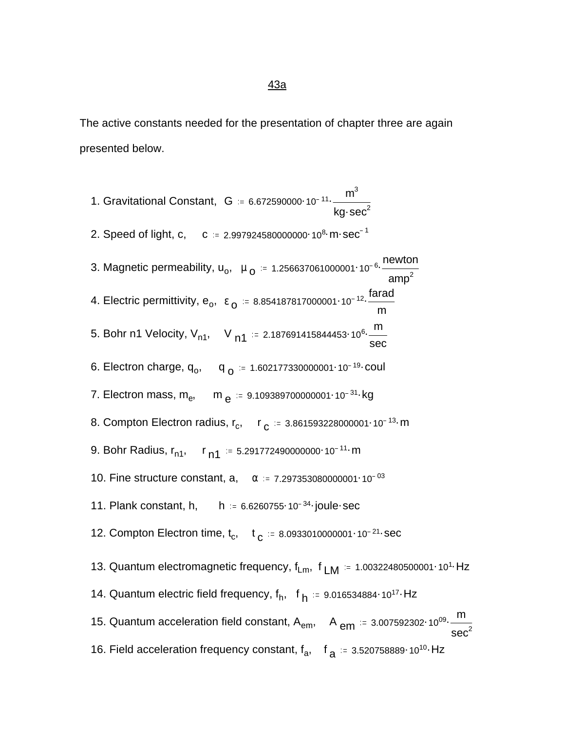The active constants needed for the presentation of chapter three are again presented below.

1. Gravitational Constant,  $|G| = 6.672590000 \cdot 10^{-11} \cdot \frac{m^3}{m^3}$ kg $\cdot$ sec $^2$ 2. Speed of light, c, c  $= 2.997924580000000 \cdot 10^8 \cdot m \cdot sec^{-1}$ 3. Magnetic permeability, u<sub>o</sub>, μ<sub>ο</sub> = 1.256637061000001·10<sup>-6.</sup> newton  $amp<sup>2</sup>$ 4. Electric permittivity, e<sub>o</sub>, ε<sub>ο</sub> := 8.854187817000001·10<sup>-12</sup>. $\dfrac{\text{farad}}{\text{m}}$ m 5. Bohr n1 Velocity, Vn1, <sup>V</sup> n1 . . 2.187691415844453 <sup>10</sup><sup>6</sup> <sup>m</sup> sec 6. Electron charge, q<sub>o</sub>, q<sub>o</sub> = 1.602177330000001·10<sup>-19</sup>·coul 7. Electron mass, m<sub>e</sub>, m <sub>e</sub> ≔ 9.109389700000001·10<sup>-31</sup>·kg 8. Compton Electron radius, r<sub>c</sub>, r <sub>c</sub> = 3.861593228000001·10<sup>-13</sup> m 9. Bohr Radius,  $r_{n1}$ ,  $r_{n1}$  = 5.291772490000000 10<sup>-11</sup> m 10. Fine structure constant, a,  $\alpha$  = 7.297353080000001 10<sup>-03</sup> 11. Plank constant, h,  $h = 6.6260755 \cdot 10^{-34}$  joule sec 12. Compton Electron time,  $t_c$ ,  $t_c = 8.0933010000001 \cdot 10^{-21}$  sec 13. Quantum electromagnetic frequency,  $f_{Lm}$ ,  $f_{LM}$  = 1.00322480500001 10<sup>1</sup> Hz 14. Quantum electric field frequency,  $f_h$ , f  $_h$  = 9.016534884 $\cdot$ 10<sup>17</sup> · Hz 15. Quantum acceleration field constant,  $A_{em}$ ,  $A_{em}$  = 3.007592302·10<sup>09</sup>.  $\frac{m}{200}$  $\sec^2$ 16. Field acceleration frequency constant,  $f_a$ ,  $f_a = 3.520758889 \cdot 10^{10}$  Hz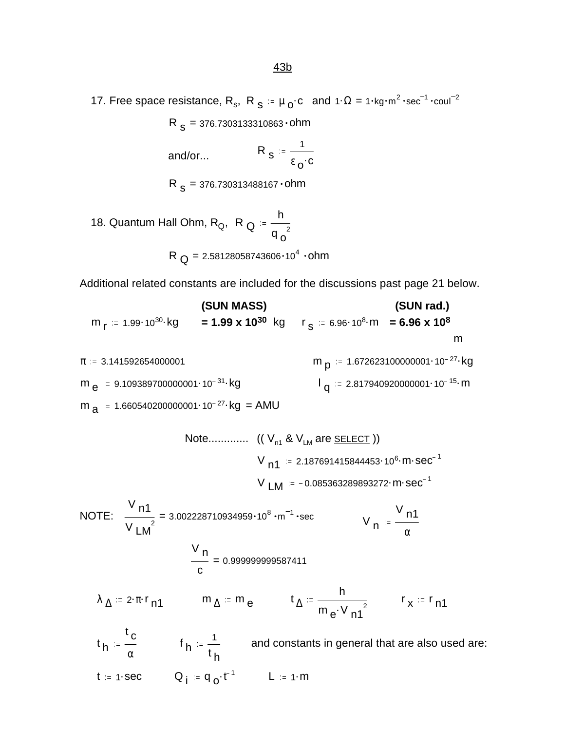17. Free space resistance, R<sub>s</sub>, R<sub>s</sub> =  $\mu_0$ ·c and 1· $\Omega = 1$ ·kg·m<sup>2</sup>·sec<sup>-1</sup>·coul<sup>-2</sup>

R <sub>S</sub> = 376.7303133310863 • ohm

and/or... 
$$
R_s := \frac{1}{\epsilon_0 \cdot c}
$$

 $\, {\sf R} \,$   $\, {\sf s}$  = 376.730313488167  $\cdot$  0hm

18. Quantum Hall Ohm, R<sub>Q</sub>, R<sub>Q</sub> := 
$$
\frac{h}{q_0^2}
$$
  
R<sub>Q</sub> = 2.58128058743606·10<sup>4</sup> · ohm

Additional related constants are included for the discussions past page 21 below.

(SUN MASS) (SUN rad.)  
\n
$$
m_r = 1.99 \cdot 10^{30} \cdot \text{kg} = 1.99 \times 10^{30} \text{ kg} \quad r_s = 6.96 \cdot 10^8 \cdot \text{m} = 6.96 \times 10^8 \text{ m}
$$
  
\n $m = 3.141592654000001$   
\n $m_e = 9.109389700000001 \cdot 10^{-31} \cdot \text{kg}$   
\n $m = 1.672623100000001 \cdot 10^{-27} \cdot \text{kg}$   
\n $n = 2.8179409200000001 \cdot 10^{-15} \cdot \text{m}$   
\n $m = 1.660540200000001 \cdot 10^{-27} \cdot \text{kg} = \text{AMU}$ 

Note............ ((V<sub>n1</sub> & V<sub>LM</sub> are SELECT ))  
\nV<sub>n1</sub> := 2.187691415844453·10<sup>6</sup>·m·sec<sup>-1</sup>  
\nV<sub>LM</sub> := -0.085363289893272·m·sec<sup>-1</sup>  
\nNOTE:  
\n
$$
\frac{V_{n1}}{V_{LM}} = 3.002228710934959·108·m-1·sec
$$
\n
$$
V_{n1} := \frac{V_{n1}}{\alpha}
$$
\n
$$
\frac{V_{n}}{c} = 0.999999999587411
$$
\n
$$
\lambda_{\Delta} = 2 \cdot \pi \cdot r_{n1} \qquad m_{\Delta} := m_{e} \qquad t_{\Delta} := \frac{h}{m_{e} \cdot v_{n1}^{2}} \qquad r_{x} := r_{n1}
$$
\n
$$
t_{n} := \frac{t_{c}}{\alpha} \qquad f_{n} := \frac{1}{t_{h}} \qquad \text{and constants in general that are also used are:}
$$
\n
$$
t = 1 \cdot \sec \qquad Q_{i} := q_{o} \cdot t^{-1} \qquad L := 1 \cdot m
$$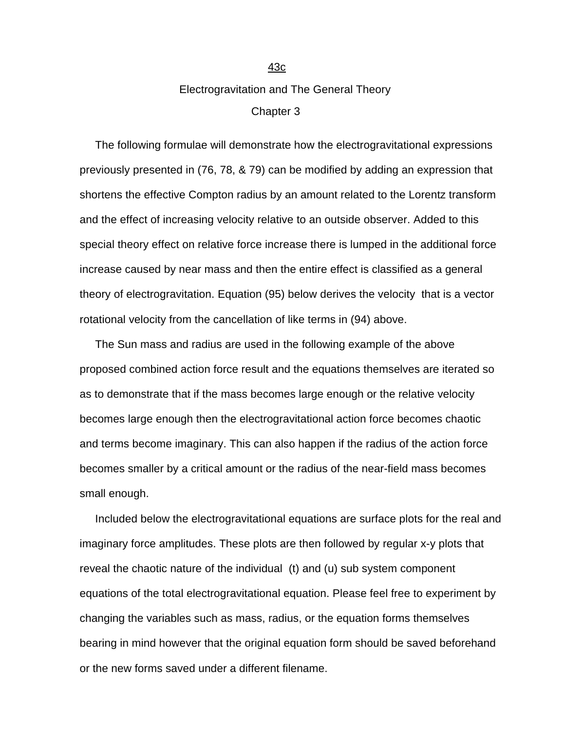## Electrogravitation and The General Theory Chapter 3

 The following formulae will demonstrate how the electrogravitational expressions previously presented in (76, 78, & 79) can be modified by adding an expression that shortens the effective Compton radius by an amount related to the Lorentz transform and the effect of increasing velocity relative to an outside observer. Added to this special theory effect on relative force increase there is lumped in the additional force increase caused by near mass and then the entire effect is classified as a general theory of electrogravitation. Equation (95) below derives the velocity that is a vector rotational velocity from the cancellation of like terms in (94) above.

 The Sun mass and radius are used in the following example of the above proposed combined action force result and the equations themselves are iterated so as to demonstrate that if the mass becomes large enough or the relative velocity becomes large enough then the electrogravitational action force becomes chaotic and terms become imaginary. This can also happen if the radius of the action force becomes smaller by a critical amount or the radius of the near-field mass becomes small enough.

 Included below the electrogravitational equations are surface plots for the real and imaginary force amplitudes. These plots are then followed by regular x-y plots that reveal the chaotic nature of the individual (t) and (u) sub system component equations of the total electrogravitational equation. Please feel free to experiment by changing the variables such as mass, radius, or the equation forms themselves bearing in mind however that the original equation form should be saved beforehand or the new forms saved under a different filename.

43c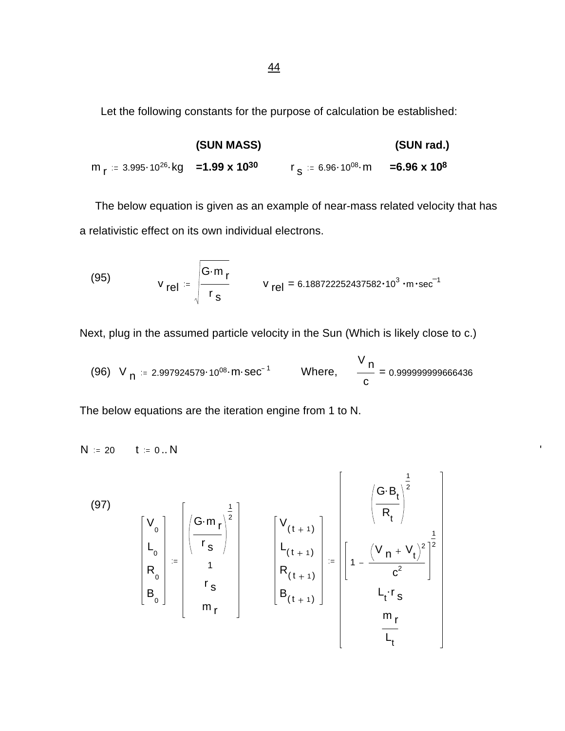Let the following constants for the purpose of calculation be established:

|                                                                             | (SUN MASS) |                                                       | (SUN rad.) |
|-----------------------------------------------------------------------------|------------|-------------------------------------------------------|------------|
| m <sub>r</sub> ≔ 3.995·10 <sup>26</sup> ·kg = <b>1.99 x 10<sup>30</sup></b> |            | $r_s = 6.96 \cdot 10^{08}$ m = 6.96 x 10 <sup>8</sup> |            |

 The below equation is given as an example of near-mass related velocity that has a relativistic effect on its own individual electrons.

(95) 
$$
v_{rel} = \sqrt{\frac{G \cdot m_r}{r_s}}
$$
  $v_{rel} = 6.188722252437582 \cdot 10^3 \cdot m \cdot sec^{-1}$ 

Next, plug in the assumed particle velocity in the Sun (Which is likely close to c.)

(96) V<sub>n</sub> = 2.997924579·10<sup>08</sup>·m·sec<sup>-1</sup> Where, 
$$
\frac{V_n}{c} = 0.999999999666436
$$

The below equations are the iteration engine from 1 to N.

 $N = 20$   $t = 0..N$ 

(97)  
\n
$$
\begin{bmatrix}\nV_{0} \\
L_{0} \\
R_{0} \\
B_{0}\n\end{bmatrix} := \begin{bmatrix}\nG \cdot m_{r} \\
r_{s} \\
r_{s} \\
m_{r}\n\end{bmatrix}
$$
\n
$$
\begin{bmatrix}\nV_{(t+1)} \\
L_{(t+1)} \\
R_{(t+1)} \\
B_{(t+1)}\n\end{bmatrix} := \begin{bmatrix}\n\left(\frac{G \cdot B_{t}}{R_{t}}\right)^{\frac{1}{2}} \\
L_{(t+1)} \\
B_{(t+1)}\n\end{bmatrix}
$$
\n
$$
\begin{bmatrix}\nG \cdot B_{t} \\
R_{t} \\
C^{2} \\
L_{t} \cdot r_{s} \\
L_{t} \\
L_{t}\n\end{bmatrix}
$$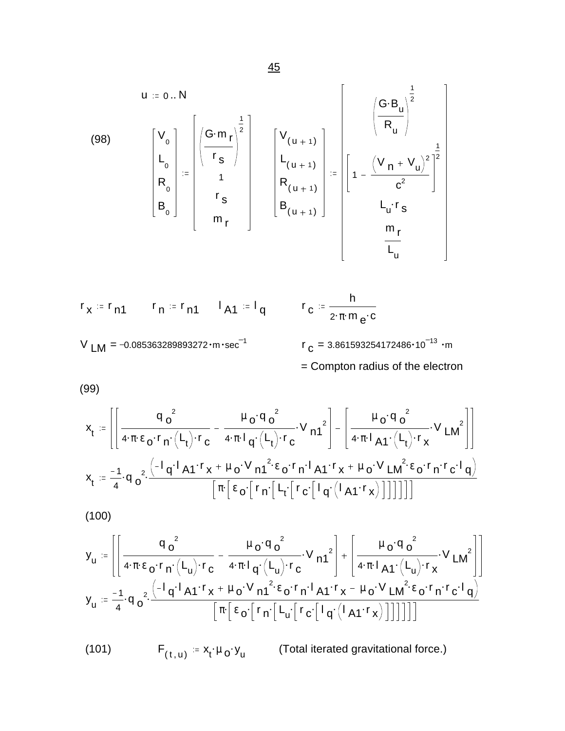(98)  
\n
$$
\begin{bmatrix}\nV_{o} \\
L_{o} \\
R_{o} \\
B_{o}\n\end{bmatrix} := \begin{bmatrix}\nG \cdot m_{r} \\
r_{s} \\
r_{s} \\
m_{r}\n\end{bmatrix} \begin{bmatrix}\nV_{(u+1)} \\
L_{(u+1)} \\
R_{(u+1)} \\
B_{(u+1)}\n\end{bmatrix} := \begin{bmatrix}\nV_{(u+1)} \\
L_{(u+1)} \\
R_{(u+1)} \\
B_{(u+1)}\n\end{bmatrix} = \begin{bmatrix}\n(V_{n} + V_{u})^{2} \\
T_{c}^{2} \\
L_{u} \cdot r_{s} \\
m_{r} \\
m_{r} \\
m_{r}\n\end{bmatrix}
$$

$$
r_x := r_{n1}
$$
  $r_n := r_{n1}$   $l_{A1} := l_{q}$   $r_c := \frac{h}{2 \cdot \pi \cdot m_e \cdot c}$   
\n $V_{LM} = -0.085363289893272 \cdot m \cdot sec^{-1}$   $r_c = 3.861593254172486 \cdot 10^{-13} \cdot m$   
\n= Compton radius of the electron

(99)

$$
x_t \coloneqq \left[ \left[ \frac{q_o^2}{4 \cdot \pi \cdot \epsilon_o \cdot r_n \cdot (L_t) \cdot r_c} - \frac{\mu_o \cdot q_o^2}{4 \cdot \pi \cdot l_q \cdot (L_t) \cdot r_c} \cdot V_{n1}^2 \right] - \left[ \frac{\mu_o \cdot q_o^2}{4 \cdot \pi \cdot l_{A1} \cdot (L_t) \cdot r_x} \cdot V_{LM}^2 \right] \right]
$$
  

$$
x_t \coloneqq \frac{-1}{4} \cdot q_o^2 \cdot \frac{\left( -1_q \cdot 1 A1 \cdot r_x + \mu_o \cdot V_{n1}^2 \cdot \epsilon_o \cdot r_n \cdot 1 A1 \cdot r_x + \mu_o \cdot V_{LM}^2 \cdot \epsilon_o \cdot r_n \cdot r_c \cdot 1 q \right)}{\left[ \pi \left[ \epsilon_o \cdot \left[ r_n \cdot \left[ L_t \cdot \left[ r_c \cdot \left[ 1 q \cdot (1 A1 \cdot r_x) \right] \right] \right] \right] \right] \right]}
$$

(100)

$$
y_u := \left[ \left[ \frac{q_o^2}{4 \cdot \pi \cdot \epsilon_o \cdot r_n \cdot (L_u) \cdot r_c} - \frac{\mu_o \cdot q_o^2}{4 \cdot \pi \cdot l_q \cdot (L_u) \cdot r_c} \cdot V_{n1}^2 \right] + \left[ \frac{\mu_o \cdot q_o^2}{4 \cdot \pi \cdot l_{A1} \cdot (L_u) \cdot r_x} \cdot V_{L M}^2 \right] \right]
$$
  

$$
y_u := \frac{-1}{4} \cdot q_o^2 \cdot \frac{\left( -1 \cdot q_1^2 \cdot 41 \cdot r_x + \mu_o \cdot V_{n1}^2 \cdot \epsilon_o \cdot r_n \cdot 1_{A1} \cdot r_x - \mu_o \cdot V_{L M}^2 \cdot \epsilon_o \cdot r_n \cdot r_c \cdot 1_{q} \right)}{\left[ \pi \cdot \left[ \epsilon_o \cdot \left[ r_n \cdot \left[ L_u \cdot \left[ r_c \cdot \left[ 1 \cdot q \cdot (1_{A1} \cdot r_x) \right] \right] \right] \right] \right] \right]}
$$

 $(101)$  $(t, u) = X_t \cdot \mu_0 \cdot Y_u$ (Total iterated gravitational force.)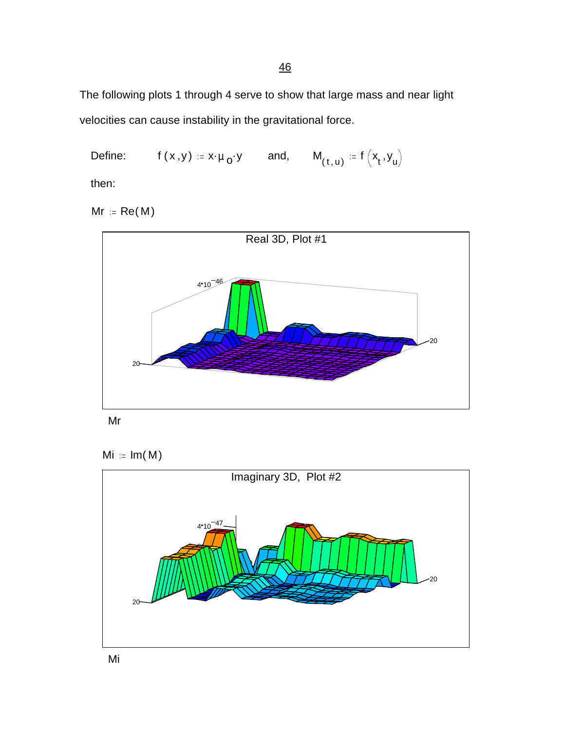The following plots 1 through 4 serve to show that large mass and near light velocities can cause instability in the gravitational force.

Define: 
$$
f(x,y) := x \cdot \mu_0 \cdot y
$$
 and,  $M_{(t,u)} := f(x_t, y_u)$ 

then:

 $Mr = Re(M)$ 





 $Mi = Im(M)$ 



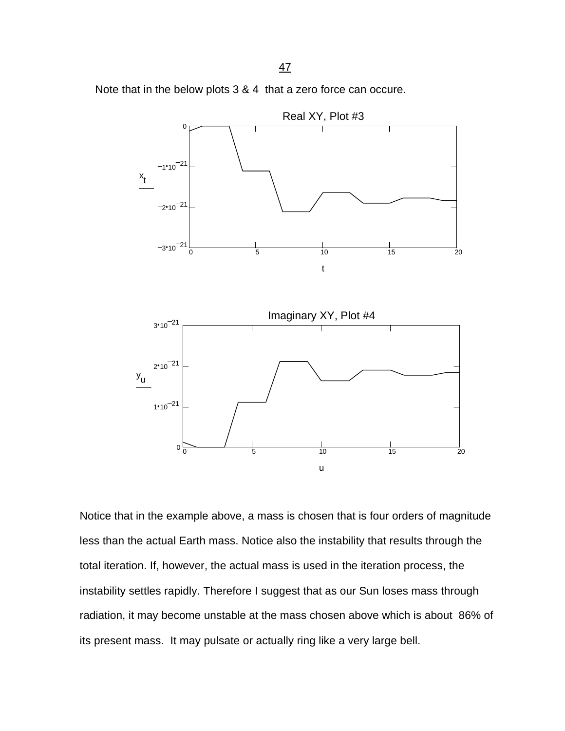Note that in the below plots 3 & 4 that a zero force can occure.



Notice that in the example above, a mass is chosen that is four orders of magnitude less than the actual Earth mass. Notice also the instability that results through the total iteration. If, however, the actual mass is used in the iteration process, the instability settles rapidly. Therefore I suggest that as our Sun loses mass through radiation, it may become unstable at the mass chosen above which is about 86% of its present mass. It may pulsate or actually ring like a very large bell.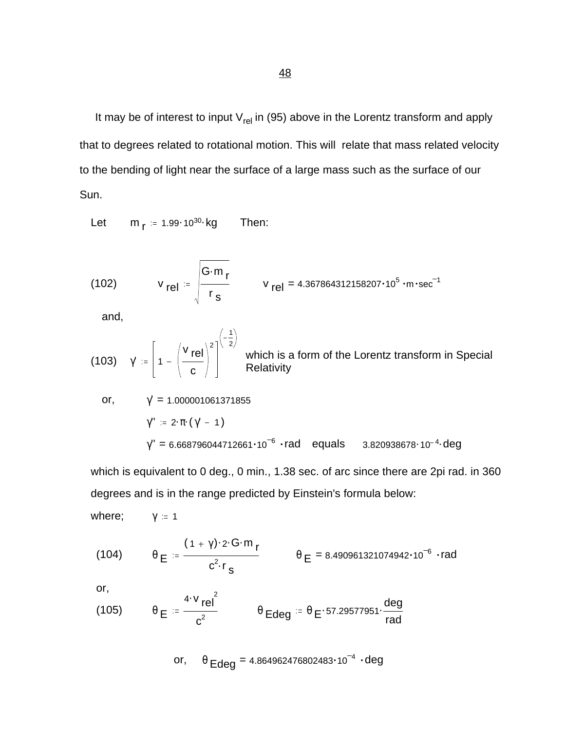It may be of interest to input  $V_{rel}$  in (95) above in the Lorentz transform and apply that to degrees related to rotational motion. This will relate that mass related velocity to the bending of light near the surface of a large mass such as the surface of our Sun.

Let  $m_{\mathsf{r}} = 1.99 \cdot 10^{30}$  kg Then:

(102) 
$$
V_{\text{rel}} = \sqrt{\frac{G \cdot m_r}{r_s}}
$$
  $V_{\text{rel}} = 4.367864312158207 \cdot 10^5 \cdot \text{m} \cdot \text{sec}^{-1}$ 

and,

(103) 
$$
\gamma' := \left[1 - \left(\frac{v_{rel}}{c}\right)^2\right]^{\left(-\frac{1}{2}\right)}
$$
 which is a form of the Lorentz transform in Special Relativity

or, 
$$
\gamma' = 1.000001061371855
$$
  
\n $\gamma'' := 2 \cdot \pi \cdot (\gamma' - 1)$   
\n $\gamma'' = 6.668796044712661 \cdot 10^{-6} \cdot rad$  equals 3.820938678 \cdot 10<sup>-4</sup> deg

which is equivalent to 0 deg., 0 min., 1.38 sec. of arc since there are 2pi rad. in 360 degrees and is in the range predicted by Einstein's formula below:

where;  $\gamma = 1$ 

(104) 
$$
\theta_E = \frac{(1 + \gamma) \cdot 2 \cdot G \cdot m_r}{c^2 \cdot r_s}
$$
  $\theta_E = 8.490961321074942 \cdot 10^{-6} \cdot rad$ 

or,

(105) 
$$
\theta \mathbf{E} = \frac{4 \cdot v \mathbf{rel}^2}{c^2} \qquad \theta \mathbf{E} \text{deg} = \theta \mathbf{E} \cdot 57.29577951 \cdot \frac{\text{deg}}{\text{rad}}
$$

or, 
$$
\theta_{\text{Edge}} = 4.864962476802483 \cdot 10^{-4} \cdot \text{deg}
$$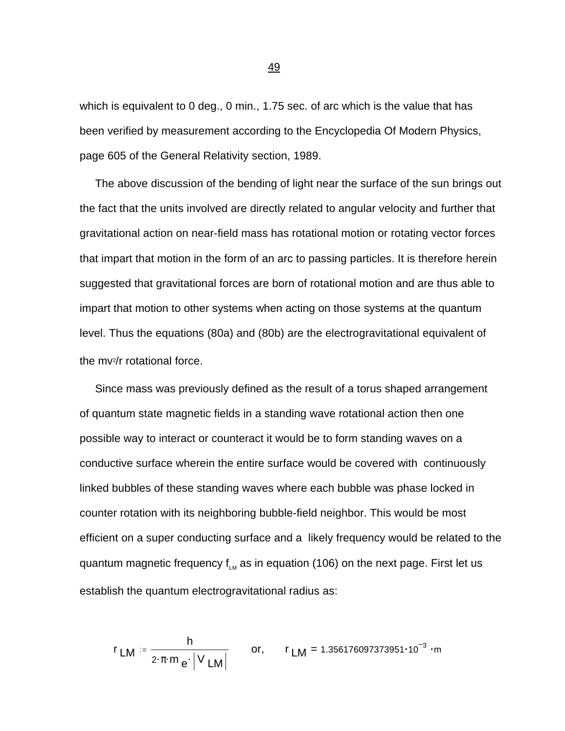which is equivalent to 0 deg., 0 min., 1.75 sec. of arc which is the value that has been verified by measurement according to the Encyclopedia Of Modern Physics, page 605 of the General Relativity section, 1989.

 The above discussion of the bending of light near the surface of the sun brings out the fact that the units involved are directly related to angular velocity and further that gravitational action on near-field mass has rotational motion or rotating vector forces that impart that motion in the form of an arc to passing particles. It is therefore herein suggested that gravitational forces are born of rotational motion and are thus able to impart that motion to other systems when acting on those systems at the quantum level. Thus the equations (80a) and (80b) are the electrogravitational equivalent of the mv2/r rotational force.

 Since mass was previously defined as the result of a torus shaped arrangement of quantum state magnetic fields in a standing wave rotational action then one possible way to interact or counteract it would be to form standing waves on a conductive surface wherein the entire surface would be covered with continuously linked bubbles of these standing waves where each bubble was phase locked in counter rotation with its neighboring bubble-field neighbor. This would be most efficient on a super conducting surface and a likely frequency would be related to the quantum magnetic frequency  $f_{LM}$  as in equation (106) on the next page. First let us establish the quantum electrogravitational radius as:

$$
r_{LM} = \frac{h}{2 \cdot \pi \cdot m_e \cdot |V_{LM}|}
$$
 or,  $r_{LM} = 1.356176097373951 \cdot 10^{-3} \cdot m$ 

49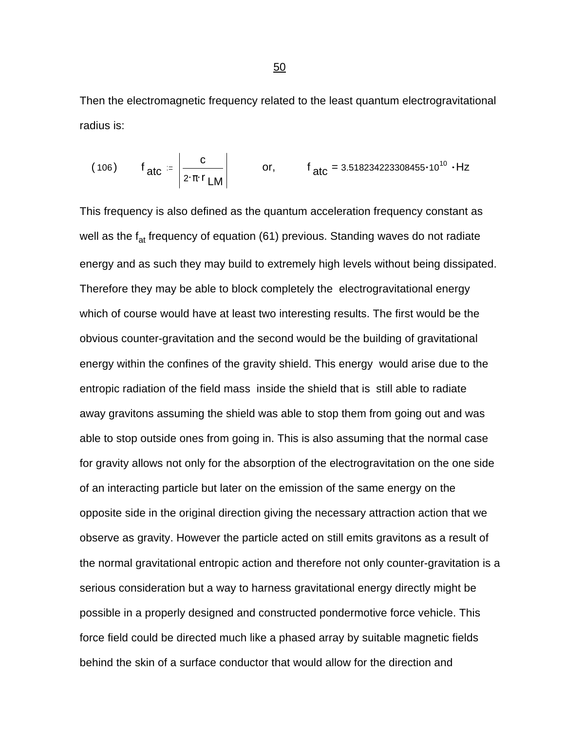Then the electromagnetic frequency related to the least quantum electrogravitational radius is:

(106) 
$$
f_{\text{atc}} = \left| \frac{c}{2 \cdot \pi \cdot r_{\text{LM}}} \right|
$$
 or,  $f_{\text{atc}} = 3.518234223308455 \cdot 10^{10} \cdot \text{Hz}$ 

This frequency is also defined as the quantum acceleration frequency constant as well as the  $f_{at}$  frequency of equation (61) previous. Standing waves do not radiate energy and as such they may build to extremely high levels without being dissipated. Therefore they may be able to block completely the electrogravitational energy which of course would have at least two interesting results. The first would be the obvious counter-gravitation and the second would be the building of gravitational energy within the confines of the gravity shield. This energy would arise due to the entropic radiation of the field mass inside the shield that is still able to radiate away gravitons assuming the shield was able to stop them from going out and was able to stop outside ones from going in. This is also assuming that the normal case for gravity allows not only for the absorption of the electrogravitation on the one side of an interacting particle but later on the emission of the same energy on the opposite side in the original direction giving the necessary attraction action that we observe as gravity. However the particle acted on still emits gravitons as a result of the normal gravitational entropic action and therefore not only counter-gravitation is a serious consideration but a way to harness gravitational energy directly might be possible in a properly designed and constructed pondermotive force vehicle. This force field could be directed much like a phased array by suitable magnetic fields behind the skin of a surface conductor that would allow for the direction and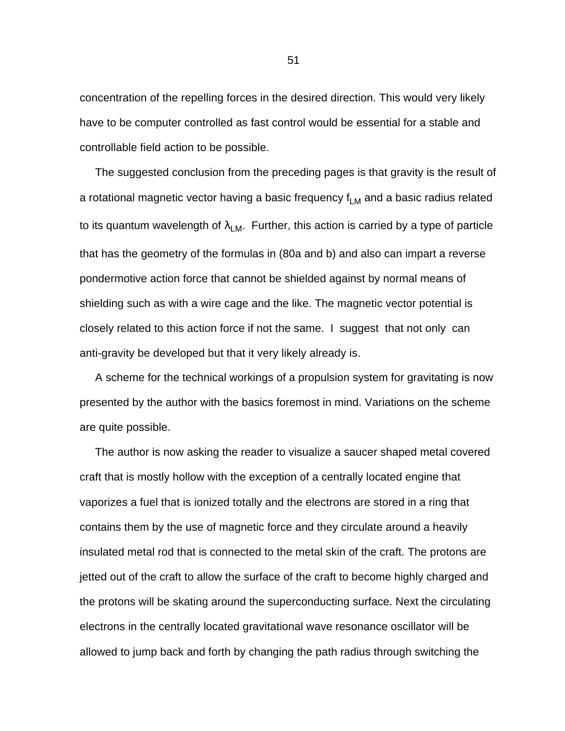concentration of the repelling forces in the desired direction. This would very likely have to be computer controlled as fast control would be essential for a stable and controllable field action to be possible.

 The suggested conclusion from the preceding pages is that gravity is the result of a rotational magnetic vector having a basic frequency  $f_{LM}$  and a basic radius related to its quantum wavelength of  $\lambda_{LM}$ . Further, this action is carried by a type of particle that has the geometry of the formulas in (80a and b) and also can impart a reverse pondermotive action force that cannot be shielded against by normal means of shielding such as with a wire cage and the like. The magnetic vector potential is closely related to this action force if not the same. I suggest that not only can anti-gravity be developed but that it very likely already is.

 A scheme for the technical workings of a propulsion system for gravitating is now presented by the author with the basics foremost in mind. Variations on the scheme are quite possible.

 The author is now asking the reader to visualize a saucer shaped metal covered craft that is mostly hollow with the exception of a centrally located engine that vaporizes a fuel that is ionized totally and the electrons are stored in a ring that contains them by the use of magnetic force and they circulate around a heavily insulated metal rod that is connected to the metal skin of the craft. The protons are jetted out of the craft to allow the surface of the craft to become highly charged and the protons will be skating around the superconducting surface. Next the circulating electrons in the centrally located gravitational wave resonance oscillator will be allowed to jump back and forth by changing the path radius through switching the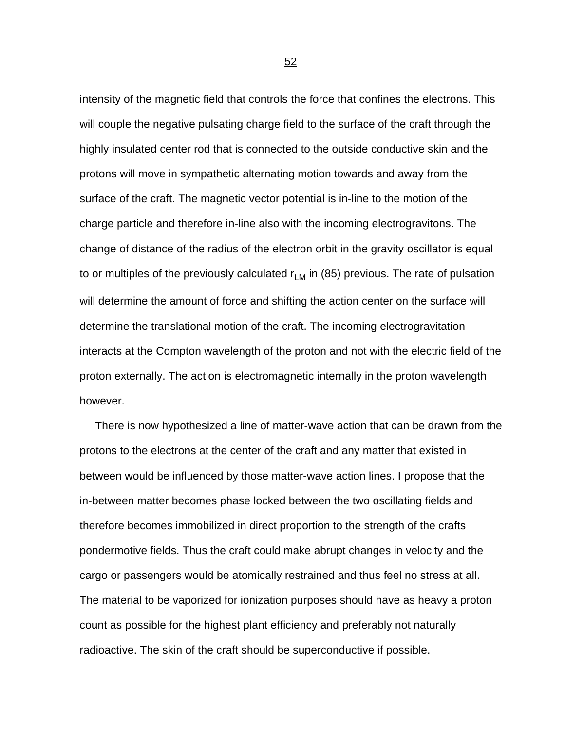intensity of the magnetic field that controls the force that confines the electrons. This will couple the negative pulsating charge field to the surface of the craft through the highly insulated center rod that is connected to the outside conductive skin and the protons will move in sympathetic alternating motion towards and away from the surface of the craft. The magnetic vector potential is in-line to the motion of the charge particle and therefore in-line also with the incoming electrogravitons. The change of distance of the radius of the electron orbit in the gravity oscillator is equal to or multiples of the previously calculated  $r_{LM}$  in (85) previous. The rate of pulsation will determine the amount of force and shifting the action center on the surface will determine the translational motion of the craft. The incoming electrogravitation interacts at the Compton wavelength of the proton and not with the electric field of the proton externally. The action is electromagnetic internally in the proton wavelength however.

 There is now hypothesized a line of matter-wave action that can be drawn from the protons to the electrons at the center of the craft and any matter that existed in between would be influenced by those matter-wave action lines. I propose that the in-between matter becomes phase locked between the two oscillating fields and therefore becomes immobilized in direct proportion to the strength of the crafts pondermotive fields. Thus the craft could make abrupt changes in velocity and the cargo or passengers would be atomically restrained and thus feel no stress at all. The material to be vaporized for ionization purposes should have as heavy a proton count as possible for the highest plant efficiency and preferably not naturally radioactive. The skin of the craft should be superconductive if possible.

 $\sim$  52